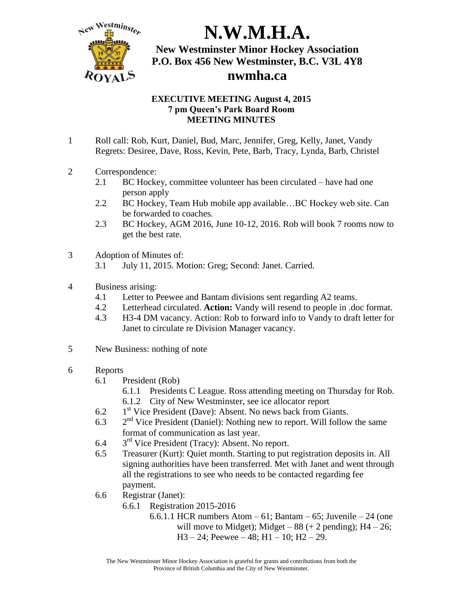

## **EXECUTIVE MEETING August 4, 2015 7 pm Queen's Park Board Room MEETING MINUTES**

- 1 Roll call: Rob, Kurt, Daniel, Bud, Marc, Jennifer, Greg, Kelly, Janet, Vandy Regrets: Desiree, Dave, Ross, Kevin, Pete, Barb, Tracy, Lynda, Barb, Christel
- 2 Correspondence:
	- 2.1 BC Hockey, committee volunteer has been circulated have had one person apply
	- 2.2 BC Hockey, Team Hub mobile app available... BC Hockey web site. Can be forwarded to coaches.
	- 2.3 BC Hockey, AGM 2016, June 10-12, 2016. Rob will book 7 rooms now to get the best rate.
- 3 Adoption of Minutes of:
	- 3.1 July 11, 2015. Motion: Greg; Second: Janet. Carried.
- 4 Business arising:
	- 4.1 Letter to Peewee and Bantam divisions sent regarding A2 teams.
	- 4.2 Letterhead circulated. **Action:** Vandy will resend to people in .doc format.
	- 4.3 H3-4 DM vacancy. Action: Rob to forward info to Vandy to draft letter for Janet to circulate re Division Manager vacancy.
- 5 New Business: nothing of note
- 6 Reports
	- 6.1 President (Rob)
		- 6.1.1 Presidents C League. Ross attending meeting on Thursday for Rob. 6.1.2 City of New Westminster, see ice allocator report
		-
	- 6.2 1<sup>st</sup> Vice President (Dave): Absent. No news back from Giants.
	- 6.3  $2<sup>nd</sup>$  Vice President (Daniel): Nothing new to report. Will follow the same format of communication as last year.
	- $6.4$  $3<sup>rd</sup>$  Vice President (Tracy): Absent. No report.
	- 6.5 Treasurer (Kurt): Quiet month. Starting to put registration deposits in. All signing authorities have been transferred. Met with Janet and went through all the registrations to see who needs to be contacted regarding fee payment.
	- 6.6 Registrar (Janet):
		- 6.6.1 Registration 2015-2016
			- 6.6.1.1 HCR numbers Atom  $-61$ ; Bantam  $-65$ ; Juvenile  $-24$  (one) will move to Midget); Midget  $-88$  ( $+ 2$  pending); H4  $- 26$ ;  $H3 - 24$ ; Peewee – 48;  $H1 - 10$ ;  $H2 - 29$ .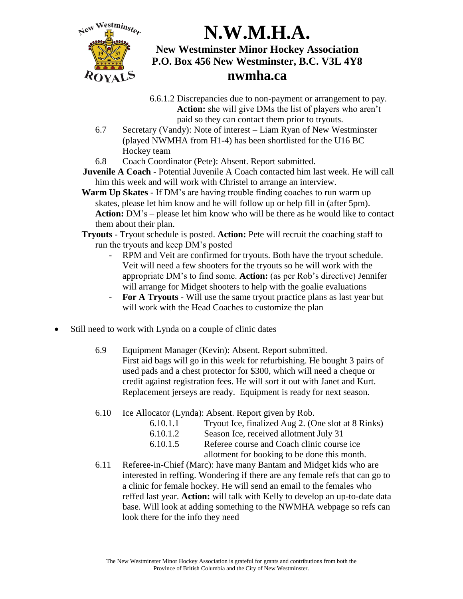

- 6.6.1.2 Discrepancies due to non-payment or arrangement to pay. **Action:** she will give DMs the list of players who aren't paid so they can contact them prior to tryouts.
- 6.7 Secretary (Vandy): Note of interest Liam Ryan of New Westminster (played NWMHA from H1-4) has been shortlisted for the U16 BC Hockey team
- 6.8 Coach Coordinator (Pete): Absent. Report submitted.
- **Juvenile A Coach** Potential Juvenile A Coach contacted him last week. He will call him this week and will work with Christel to arrange an interview.
- **Warm Up Skates** If DM's are having trouble finding coaches to run warm up skates, please let him know and he will follow up or help fill in (after 5pm). **Action:** DM's – please let him know who will be there as he would like to contact them about their plan.
- **Tryouts** Tryout schedule is posted. **Action:** Pete will recruit the coaching staff to run the tryouts and keep DM's posted
	- RPM and Veit are confirmed for tryouts. Both have the tryout schedule. Veit will need a few shooters for the tryouts so he will work with the appropriate DM's to find some. **Action:** (as per Rob's directive) Jennifer will arrange for Midget shooters to help with the goalie evaluations
	- **For A Tryouts** Will use the same tryout practice plans as last year but will work with the Head Coaches to customize the plan
- Still need to work with Lynda on a couple of clinic dates
	- 6.9 Equipment Manager (Kevin): Absent. Report submitted. First aid bags will go in this week for refurbishing. He bought 3 pairs of used pads and a chest protector for \$300, which will need a cheque or credit against registration fees. He will sort it out with Janet and Kurt. Replacement jerseys are ready. Equipment is ready for next season.
	- 6.10 Ice Allocator (Lynda): Absent. Report given by Rob.
		- 6.10.1.1 Tryout Ice, finalized Aug 2. (One slot at 8 Rinks) 6.10.1.2 Season Ice, received allotment July 31 6.10.1.5 Referee course and Coach clinic course ice

allotment for booking to be done this month.

6.11 Referee-in-Chief (Marc): have many Bantam and Midget kids who are interested in reffing. Wondering if there are any female refs that can go to a clinic for female hockey. He will send an email to the females who reffed last year. **Action:** will talk with Kelly to develop an up-to-date data base. Will look at adding something to the NWMHA webpage so refs can look there for the info they need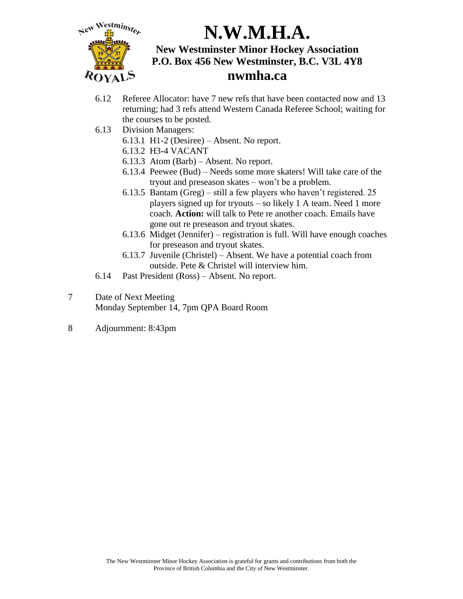

- 6.12 Referee Allocator: have 7 new refs that have been contacted now and 13 returning; had 3 refs attend Western Canada Referee School; waiting for the courses to be posted.
- 6.13 Division Managers:
	- 6.13.1 H1-2 (Desiree) Absent. No report.
	- 6.13.2 H3-4 VACANT
	- 6.13.3 Atom (Barb) Absent. No report.
	- 6.13.4 Peewee (Bud) Needs some more skaters! Will take care of the tryout and preseason skates – won't be a problem.
	- 6.13.5 Bantam (Greg) still a few players who haven't registered. 25 players signed up for tryouts – so likely 1 A team. Need 1 more coach. **Action:** will talk to Pete re another coach. Emails have gone out re preseason and tryout skates.
	- 6.13.6 Midget (Jennifer) registration is full. Will have enough coaches for preseason and tryout skates.
	- 6.13.7 Juvenile (Christel) Absent. We have a potential coach from outside. Pete & Christel will interview him.
- 6.14 Past President (Ross) Absent. No report.
- 7 Date of Next Meeting Monday September 14, 7pm QPA Board Room
- 8 Adjournment: 8:43pm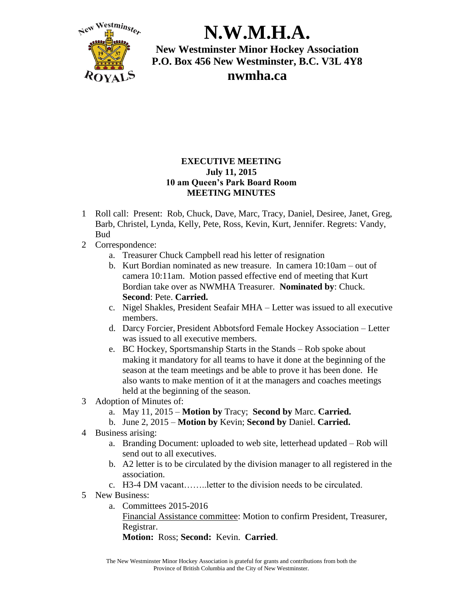

## **EXECUTIVE MEETING July 11, 2015 10 am Queen's Park Board Room MEETING MINUTES**

- 1 Roll call: Present: Rob, Chuck, Dave, Marc, Tracy, Daniel, Desiree, Janet, Greg, Barb, Christel, Lynda, Kelly, Pete, Ross, Kevin, Kurt, Jennifer. Regrets: Vandy, Bud
- 2 Correspondence:
	- a. Treasurer Chuck Campbell read his letter of resignation
	- b. Kurt Bordian nominated as new treasure. In camera 10:10am out of camera 10:11am. Motion passed effective end of meeting that Kurt Bordian take over as NWMHA Treasurer. **Nominated by**: Chuck. **Second**: Pete. **Carried.**
	- c. Nigel Shakles, President Seafair MHA Letter was issued to all executive members.
	- d. Darcy Forcier, President Abbotsford Female Hockey Association Letter was issued to all executive members.
	- e. BC Hockey, Sportsmanship Starts in the Stands Rob spoke about making it mandatory for all teams to have it done at the beginning of the season at the team meetings and be able to prove it has been done. He also wants to make mention of it at the managers and coaches meetings held at the beginning of the season.
- 3 Adoption of Minutes of:
	- a. May 11, 2015 **Motion by** Tracy; **Second by** Marc. **Carried.**
	- b. June 2, 2015 **Motion by** Kevin; **Second by** Daniel. **Carried.**
- 4 Business arising:
	- a. Branding Document: uploaded to web site, letterhead updated Rob will send out to all executives.
	- b. A2 letter is to be circulated by the division manager to all registered in the association.
	- c. H3-4 DM vacant……..letter to the division needs to be circulated.
- 5 New Business:
	- a. Committees 2015-2016

Financial Assistance committee: Motion to confirm President, Treasurer, Registrar.

**Motion:** Ross; **Second:** Kevin. **Carried**.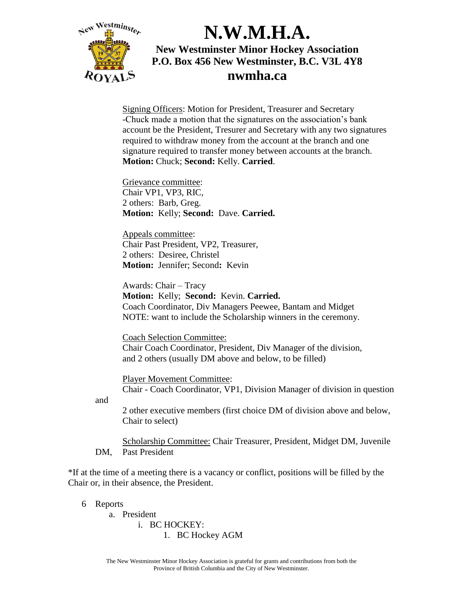

Signing Officers: Motion for President, Treasurer and Secretary -Chuck made a motion that the signatures on the association's bank account be the President, Tresurer and Secretary with any two signatures required to withdraw money from the account at the branch and one signature required to transfer money between accounts at the branch. **Motion:** Chuck; **Second:** Kelly. **Carried**.

Grievance committee: Chair VP1, VP3, RIC, 2 others: Barb, Greg. **Motion:** Kelly; **Second:** Dave. **Carried.**

Appeals committee: Chair Past President, VP2, Treasurer, 2 others: Desiree, Christel **Motion:** Jennifer; Second**:** Kevin

Awards: Chair – Tracy **Motion:** Kelly; **Second:** Kevin. **Carried.** Coach Coordinator, Div Managers Peewee, Bantam and Midget NOTE: want to include the Scholarship winners in the ceremony.

Coach Selection Committee: Chair Coach Coordinator, President, Div Manager of the division, and 2 others (usually DM above and below, to be filled)

Player Movement Committee: Chair - Coach Coordinator, VP1, Division Manager of division in question

and

2 other executive members (first choice DM of division above and below, Chair to select)

Scholarship Committee: Chair Treasurer, President, Midget DM, Juvenile DM, Past President

\*If at the time of a meeting there is a vacancy or conflict, positions will be filled by the Chair or, in their absence, the President.

6 Reports

a. President i. BC HOCKEY: 1. BC Hockey AGM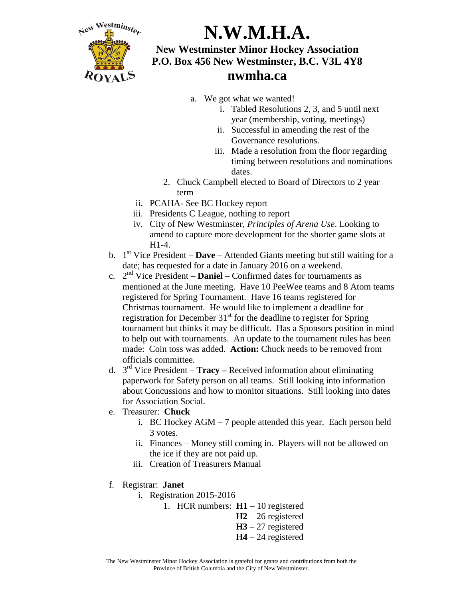

- a. We got what we wanted!
	- i. Tabled Resolutions 2, 3, and 5 until next year (membership, voting, meetings)
	- ii. Successful in amending the rest of the Governance resolutions.
	- iii. Made a resolution from the floor regarding timing between resolutions and nominations dates.
- 2. Chuck Campbell elected to Board of Directors to 2 year term
- ii. PCAHA- See BC Hockey report
- iii. Presidents C League, nothing to report
- iv. City of New Westminster, *Principles of Arena Use*. Looking to amend to capture more development for the shorter game slots at H1-4.
- b. 1 st Vice President **Dave** Attended Giants meeting but still waiting for a date; has requested for a date in January 2016 on a weekend.
- c.  $2<sup>nd</sup>$  Vice President **Daniel** Confirmed dates for tournaments as mentioned at the June meeting. Have 10 PeeWee teams and 8 Atom teams registered for Spring Tournament. Have 16 teams registered for Christmas tournament. He would like to implement a deadline for registration for December 31<sup>st</sup> for the deadline to register for Spring tournament but thinks it may be difficult. Has a Sponsors position in mind to help out with tournaments. An update to the tournament rules has been made: Coin toss was added. **Action:** Chuck needs to be removed from officials committee.
- d. 3 rd Vice President **Tracy –** Received information about eliminating paperwork for Safety person on all teams. Still looking into information about Concussions and how to monitor situations. Still looking into dates for Association Social.
- e. Treasurer: **Chuck**
	- i. BC Hockey AGM 7 people attended this year. Each person held 3 votes.
	- ii. Finances Money still coming in. Players will not be allowed on the ice if they are not paid up.
	- iii. Creation of Treasurers Manual
- f. Registrar: **Janet**
	- i. Registration 2015-2016
		- 1. HCR numbers: **H1** 10 registered
			- **H2** 26 registered
				- **H3** 27 registered
				- **H4** 24 registered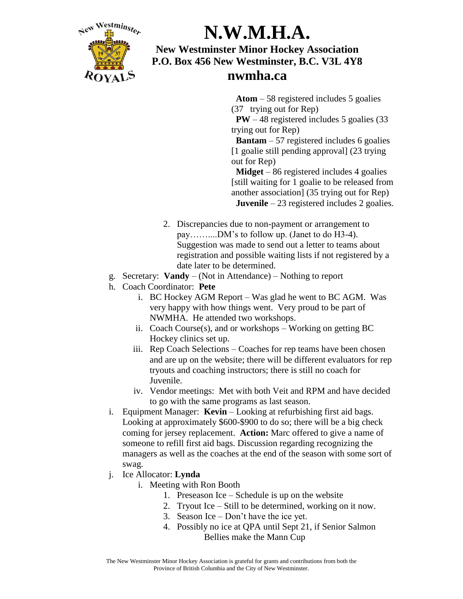

 **Atom** – 58 registered includes 5 goalies (37 trying out for Rep)

 **PW** – 48 registered includes 5 goalies (33 trying out for Rep)

 **Bantam** – 57 registered includes 6 goalies [1 goalie still pending approval] (23 trying out for Rep)

 **Midget** – 86 registered includes 4 goalies [still waiting for 1 goalie to be released from another association] (35 trying out for Rep)  **Juvenile** – 23 registered includes 2 goalies.

- 2. Discrepancies due to non-payment or arrangement to pay……....DM's to follow up. (Janet to do H3-4). Suggestion was made to send out a letter to teams about registration and possible waiting lists if not registered by a date later to be determined.
- g. Secretary: **Vandy**  (Not in Attendance) Nothing to report
- h. Coach Coordinator: **Pete**
	- i. BC Hockey AGM Report Was glad he went to BC AGM. Was very happy with how things went. Very proud to be part of NWMHA. He attended two workshops.
	- ii. Coach Course $(s)$ , and or workshops Working on getting BC Hockey clinics set up.
	- iii. Rep Coach Selections Coaches for rep teams have been chosen and are up on the website; there will be different evaluators for rep tryouts and coaching instructors; there is still no coach for Juvenile.
	- iv. Vendor meetings: Met with both Veit and RPM and have decided to go with the same programs as last season.
- i. Equipment Manager: **Kevin** Looking at refurbishing first aid bags. Looking at approximately \$600-\$900 to do so; there will be a big check coming for jersey replacement. **Action:** Marc offered to give a name of someone to refill first aid bags. Discussion regarding recognizing the managers as well as the coaches at the end of the season with some sort of swag.
- j. Ice Allocator: **Lynda**
	- i. Meeting with Ron Booth
		- 1. Preseason Ice Schedule is up on the website
		- 2. Tryout Ice Still to be determined, working on it now.
		- 3. Season Ice Don't have the ice yet.
		- 4. Possibly no ice at QPA until Sept 21, if Senior Salmon Bellies make the Mann Cup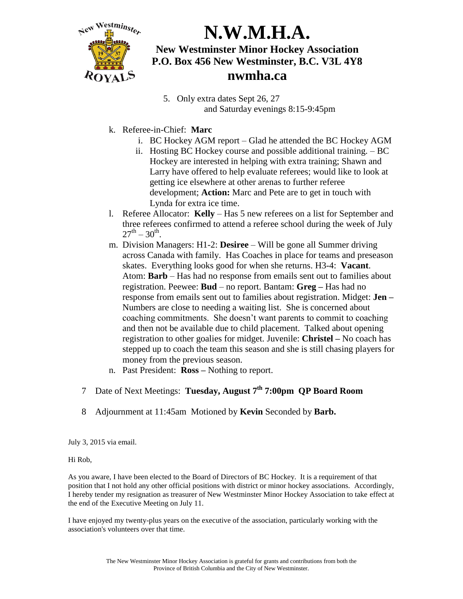

# **N.W.M.H.A.**

## **New Westminster Minor Hockey Association P.O. Box 456 New Westminster, B.C. V3L 4Y8 nwmha.ca**

- 5. Only extra dates Sept 26, 27 and Saturday evenings 8:15-9:45pm
- k. Referee-in-Chief: **Marc** 
	- i. BC Hockey AGM report Glad he attended the BC Hockey AGM
	- ii. Hosting BC Hockey course and possible additional training. BC Hockey are interested in helping with extra training; Shawn and Larry have offered to help evaluate referees; would like to look at getting ice elsewhere at other arenas to further referee development; **Action:** Marc and Pete are to get in touch with Lynda for extra ice time.
- l. Referee Allocator: **Kelly** Has 5 new referees on a list for September and three referees confirmed to attend a referee school during the week of July  $27^{\text{th}} - 30^{\text{th}}$ .
- m. Division Managers: H1-2: **Desiree**  Will be gone all Summer driving across Canada with family. Has Coaches in place for teams and preseason skates. Everything looks good for when she returns. H3-4: **Vacant**. Atom: **Barb** – Has had no response from emails sent out to families about registration. Peewee: **Bud** – no report. Bantam: **Greg –** Has had no response from emails sent out to families about registration. Midget: **Jen –** Numbers are close to needing a waiting list. She is concerned about coaching commitments. She doesn't want parents to commit to coaching and then not be available due to child placement. Talked about opening registration to other goalies for midget. Juvenile: **Christel –** No coach has stepped up to coach the team this season and she is still chasing players for money from the previous season.
- n. Past President: **Ross –** Nothing to report.
- 7 Date of Next Meetings: **Tuesday, August 7th 7:00pm QP Board Room**
- 8 Adjournment at 11:45am Motioned by **Kevin** Seconded by **Barb.**

July 3, 2015 via email.

### Hi Rob,

As you aware, I have been elected to the Board of Directors of BC Hockey. It is a requirement of that position that I not hold any other official positions with district or minor hockey associations. Accordingly, I hereby tender my resignation as treasurer of New Westminster Minor Hockey Association to take effect at the end of the Executive Meeting on July 11.

I have enjoyed my twenty-plus years on the executive of the association, particularly working with the association's volunteers over that time.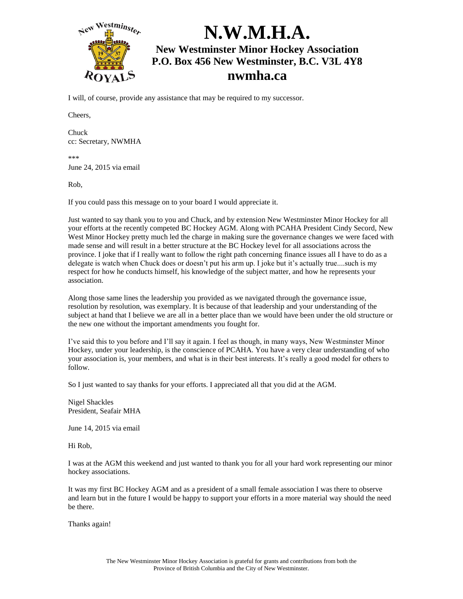

I will, of course, provide any assistance that may be required to my successor.

Cheers,

Chuck cc: Secretary, NWMHA

\*\*\* June 24, 2015 via email

Rob,

If you could pass this message on to your board I would appreciate it.

Just wanted to say thank you to you and Chuck, and by extension New Westminster Minor Hockey for all your efforts at the recently competed BC Hockey AGM. Along with PCAHA President Cindy Secord, New West Minor Hockey pretty much led the charge in making sure the governance changes we were faced with made sense and will result in a better structure at the BC Hockey level for all associations across the province. I joke that if I really want to follow the right path concerning finance issues all I have to do as a delegate is watch when Chuck does or doesn't put his arm up. I joke but it's actually true....such is my respect for how he conducts himself, his knowledge of the subject matter, and how he represents your association.

Along those same lines the leadership you provided as we navigated through the governance issue, resolution by resolution, was exemplary. It is because of that leadership and your understanding of the subject at hand that I believe we are all in a better place than we would have been under the old structure or the new one without the important amendments you fought for.

I've said this to you before and I'll say it again. I feel as though, in many ways, New Westminster Minor Hockey, under your leadership, is the conscience of PCAHA. You have a very clear understanding of who your association is, your members, and what is in their best interests. It's really a good model for others to follow.

So I just wanted to say thanks for your efforts. I appreciated all that you did at the AGM.

Nigel Shackles President, Seafair MHA

June 14, 2015 via email

Hi Rob,

I was at the AGM this weekend and just wanted to thank you for all your hard work representing our minor hockey associations.

It was my first BC Hockey AGM and as a president of a small female association I was there to observe and learn but in the future I would be happy to support your efforts in a more material way should the need be there.

Thanks again!